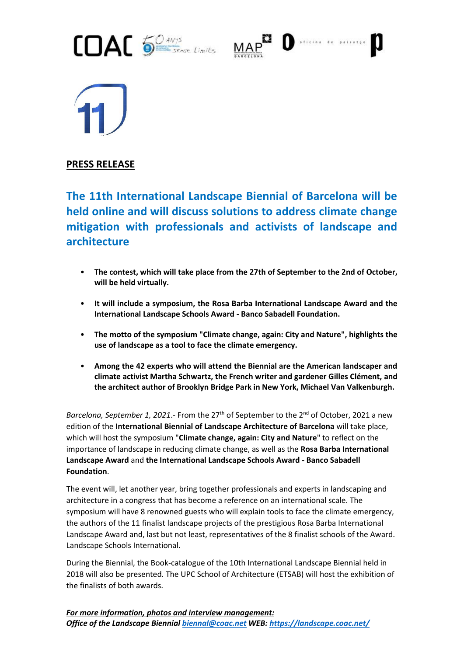





**PRESS RELEASE**

**The 11th International Landscape Biennial of Barcelona will be held online and will discuss solutions to address climate change mitigation with professionals and activists of landscape and architecture**

- **The contest, which will take place from the 27th of September to the 2nd of October, will be held virtually.**
- **It will include a symposium, the Rosa Barba International Landscape Award and the International Landscape Schools Award - Banco Sabadell Foundation.**
- **The motto of the symposium "Climate change, again: City and Nature", highlights the use of landscape as a tool to face the climate emergency.**
- **Among the 42 experts who will attend the Biennial are the American landscaper and climate activist Martha Schwartz, the French writer and gardener Gilles Clément, and the architect author of Brooklyn Bridge Park in New York, Michael Van Valkenburgh.**

Barcelona, September 1, 2021.- From the 27<sup>th</sup> of September to the 2<sup>nd</sup> of October, 2021 a new edition of the **International Biennial of Landscape Architecture of Barcelona** will take place, which will host the symposium "**Climate change, again: City and Nature**" to reflect on the importance of landscape in reducing climate change, as well as the **Rosa Barba International Landscape Award** and **the International Landscape Schools Award - Banco Sabadell Foundation**.

The event will, let another year, bring together professionals and experts in landscaping and architecture in a congress that has become a reference on an international scale. The symposium will have 8 renowned guests who will explain tools to face the climate emergency, the authors of the 11 finalist landscape projects of the prestigious Rosa Barba International Landscape Award and, last but not least, representatives of the 8 finalist schools of the Award. Landscape Schools International.

During the Biennial, the Book-catalogue of the 10th International Landscape Biennial held in 2018 will also be presented. The UPC School of Architecture (ETSAB) will host the exhibition of the finalists of both awards.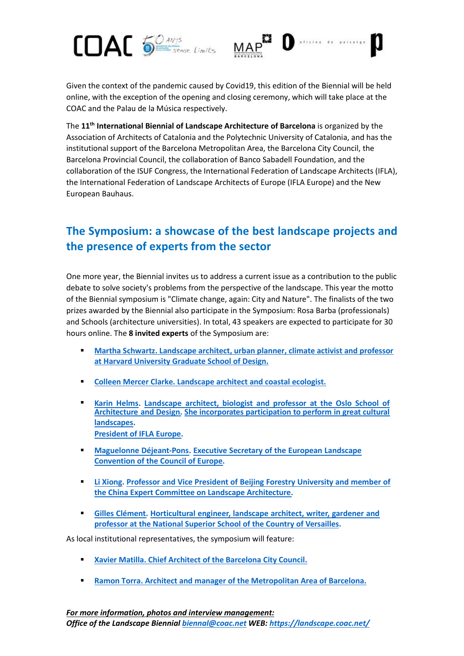



Given the context of the pandemic caused by Covid19, this edition of the Biennial will be held online, with the exception of the opening and closing ceremony, which will take place at the COAC and the Palau de la Música respectively.

The **11th International Biennial of Landscape Architecture of Barcelona** is organized by the Association of Architects of Catalonia and the Polytechnic University of Catalonia, and has the institutional support of the Barcelona Metropolitan Area, the Barcelona City Council, the Barcelona Provincial Council, the collaboration of Banco Sabadell Foundation, and the collaboration of the ISUF Congress, the International Federation of Landscape Architects (IFLA), the International Federation of Landscape Architects of Europe (IFLA Europe) and the New European Bauhaus.

## **The Symposium: a showcase of the best landscape projects and the presence of experts from the sector**

One more year, the Biennial invites us to address a current issue as a contribution to the public debate to solve society's problems from the perspective of the landscape. This year the motto of the Biennial symposium is "Climate change, again: City and Nature". The finalists of the two prizes awarded by the Biennial also participate in the Symposium: Rosa Barba (professionals) and Schools (architecture universities). In total, 43 speakers are expected to participate for 30 hours online. The **8 invited experts** of the Symposium are:

- **EXECUTE: Martha Schwartz. Landscape architect, urban planner, climate activist and professor at Harvard University Graduate School of Design.**
- **Colleen Mercer Clarke. Landscape architect and coastal ecologist.**
- ▪ **Karin Helms. Landscape architect, biologist and professor at the Oslo School of Architecture and Design. She incorporates participation to perform in great cultural landscapes. President of IFLA Europe.**
- ! **Maguelonne Déjeant-Pons. Executive Secretary of the European Landscape Convention of the Council of Europe.**
- ! **Li Xiong. Professor and Vice President of Beijing Forestry University and member of the China Expert Committee on Landscape Architecture.**
- ! **Gilles Clément. Horticultural engineer, landscape architect, writer, gardener and professor at the National Superior School of the Country of Versailles.**

As local institutional representatives, the symposium will feature:

- **Xavier Matilla. Chief Architect of the Barcelona City Council.**
- **Ramon Torra. Architect and manager of the Metropolitan Area of Barcelona.**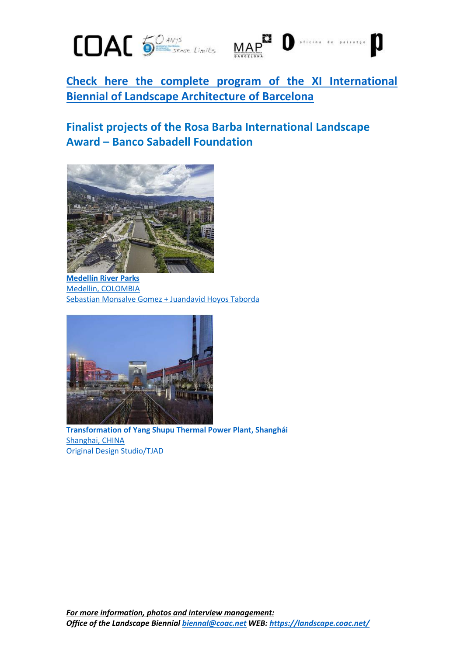



0

**[Check here the complete program of the XI International](https://landscape.coac.net/sites/default/files/2021-08/PROGRAMA%20ENG%20COMPLET_1.pdf)  [Biennial of Landscape Architecture of Barcelona](https://landscape.coac.net/sites/default/files/2021-08/PROGRAMA%20ENG%20COMPLET_1.pdf)**

## **Finalist projects of the Rosa Barba International Landscape Award – Banco Sabadell Foundation**



**[Medellín River Parks](https://landscape.coac.net/parques-del-rio-medellin)** [Medellin, COLOMBIA](https://landscape.coac.net/parques-del-rio-medellin) [Sebastian Monsalve Gomez + Juandavid Hoyos Taborda](https://landscape.coac.net/parques-del-rio-medellin)



**[Transformation of Yang Shupu Thermal Power Plant, Shanghái](https://landscape.coac.net/central-termica-de-yang-shupu-shanghai)** [Shanghai, CHINA](https://landscape.coac.net/central-termica-de-yang-shupu-shanghai) [Original Design Studio/TJAD](https://landscape.coac.net/central-termica-de-yang-shupu-shanghai)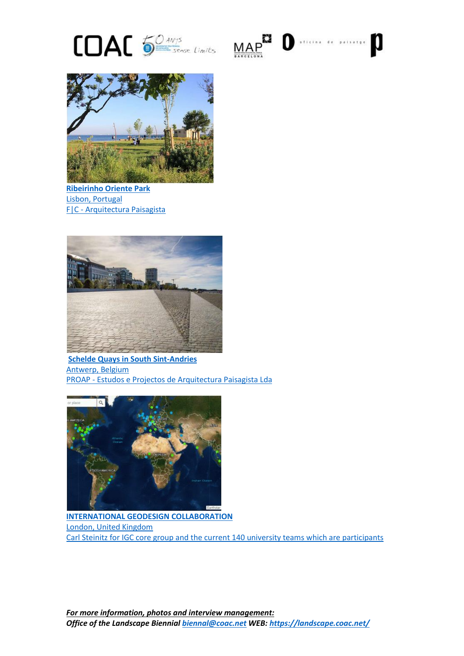





**[Ribeirinho Oriente](https://landscape.coac.net/parque-ribeirinho-oriente) Park** [Lisbon, Portugal](https://landscape.coac.net/parque-ribeirinho-oriente) F|C - [Arquitectura Paisagista](https://landscape.coac.net/parque-ribeirinho-oriente)



**[Schelde Quays in South Sint-Andries](https://landscape.coac.net/sint-andries-en-zuid-antwerpen-belgie)** [Antwerp, Belgium](https://landscape.coac.net/sint-andries-en-zuid-antwerpen-belgie) PROAP - [Estudos e Projectos de Arquitectura Paisagista Lda](https://landscape.coac.net/sint-andries-en-zuid-antwerpen-belgie)



**[INTERNATIONAL GEODESIGN COLLABORATION](https://landscape.coac.net/international-geodesign-collaboration)** [London, United Kingdom](https://landscape.coac.net/international-geodesign-collaboration) [Carl Steinitz for IGC core group and the current 140 university teams which are participants](https://landscape.coac.net/international-geodesign-collaboration)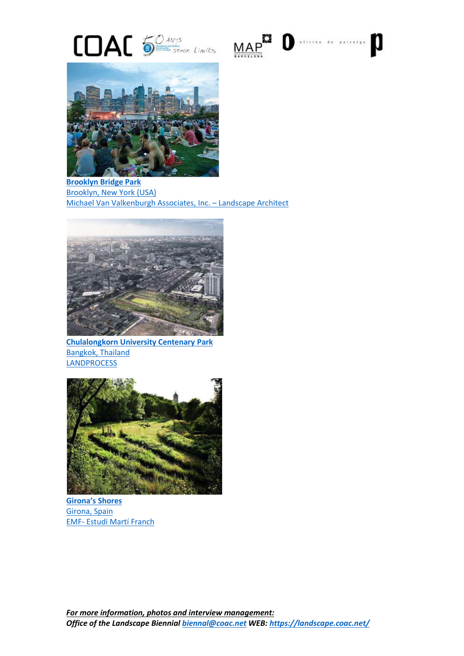





**[Brooklyn Bridge Park](https://landscape.coac.net/brooklyn-bridge-park)** [Brooklyn, New York](https://landscape.coac.net/brooklyn-bridge-park) (USA) [Michael Van Valkenburgh Associates, Inc.](https://landscape.coac.net/brooklyn-bridge-park) – Landscape Architect



**[Chulalongkorn University Centenary](https://landscape.coac.net/parque-universidad-de-chulalongkorn) Park** [Bangkok, Thailand](https://landscape.coac.net/parque-universidad-de-chulalongkorn) **[LANDPROCESS](https://landscape.coac.net/parque-universidad-de-chulalongkorn)** 



**Girona['s Shores](https://landscape.coac.net/las-veras-de-girona)** [Girona, Spain](https://landscape.coac.net/las-veras-de-girona) EMF- [Estudi Martí Franch](https://landscape.coac.net/las-veras-de-girona)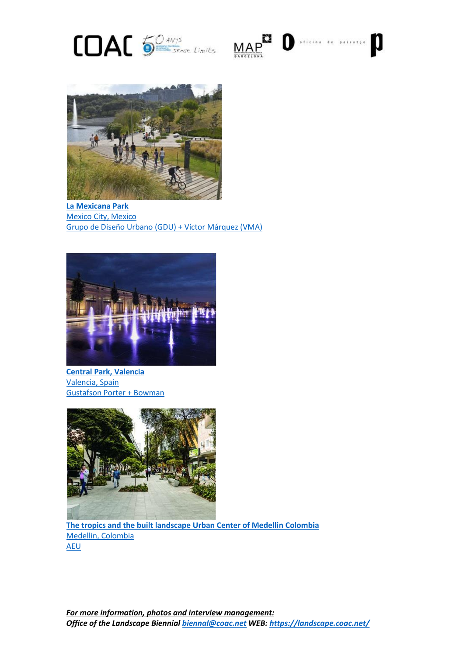





**[La Mexicana](https://landscape.coac.net/node/4915) Park** Mexico [City, Mexico](https://landscape.coac.net/node/4915) Grupo de Diseño Urbano [\(GDU\) + Víctor Márquez \(VMA\)](https://landscape.coac.net/node/4915)



**[Central Park, Valencia](https://landscape.coac.net/parque-central-valencia)** [Valencia, Spain](https://landscape.coac.net/parque-central-valencia) [Gustafson Porter + Bowman](https://landscape.coac.net/parque-central-valencia)



**[The tropics and the built landscape Urban Center of Medellin Colombia](https://landscape.coac.net/centro-urbano-de-medellin-colombia)** [Medellin, Colombia](https://landscape.coac.net/centro-urbano-de-medellin-colombia) [AEU](https://landscape.coac.net/centro-urbano-de-medellin-colombia)